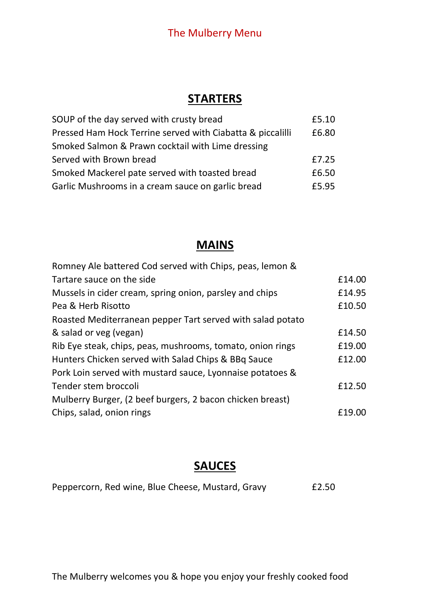# The Mulberry Menu

# **STARTERS**

| SOUP of the day served with crusty bread                   | £5.10 |
|------------------------------------------------------------|-------|
| Pressed Ham Hock Terrine served with Ciabatta & piccalilli | £6.80 |
| Smoked Salmon & Prawn cocktail with Lime dressing          |       |
| Served with Brown bread                                    | £7.25 |
| Smoked Mackerel pate served with toasted bread             | £6.50 |
| Garlic Mushrooms in a cream sauce on garlic bread          | £5.95 |

# **MAINS**

| Romney Ale battered Cod served with Chips, peas, lemon &   |        |
|------------------------------------------------------------|--------|
| Tartare sauce on the side                                  | £14.00 |
| Mussels in cider cream, spring onion, parsley and chips    | £14.95 |
| Pea & Herb Risotto                                         | £10.50 |
| Roasted Mediterranean pepper Tart served with salad potato |        |
| & salad or veg (vegan)                                     | £14.50 |
| Rib Eye steak, chips, peas, mushrooms, tomato, onion rings | £19.00 |
| Hunters Chicken served with Salad Chips & BBq Sauce        | £12.00 |
| Pork Loin served with mustard sauce, Lyonnaise potatoes &  |        |
| Tender stem broccoli                                       | £12.50 |
| Mulberry Burger, (2 beef burgers, 2 bacon chicken breast)  |        |
| Chips, salad, onion rings                                  | £19.00 |
|                                                            |        |

# **SAUCES**

| Peppercorn, Red wine, Blue Cheese, Mustard, Gravy | £2.50 |
|---------------------------------------------------|-------|
|---------------------------------------------------|-------|